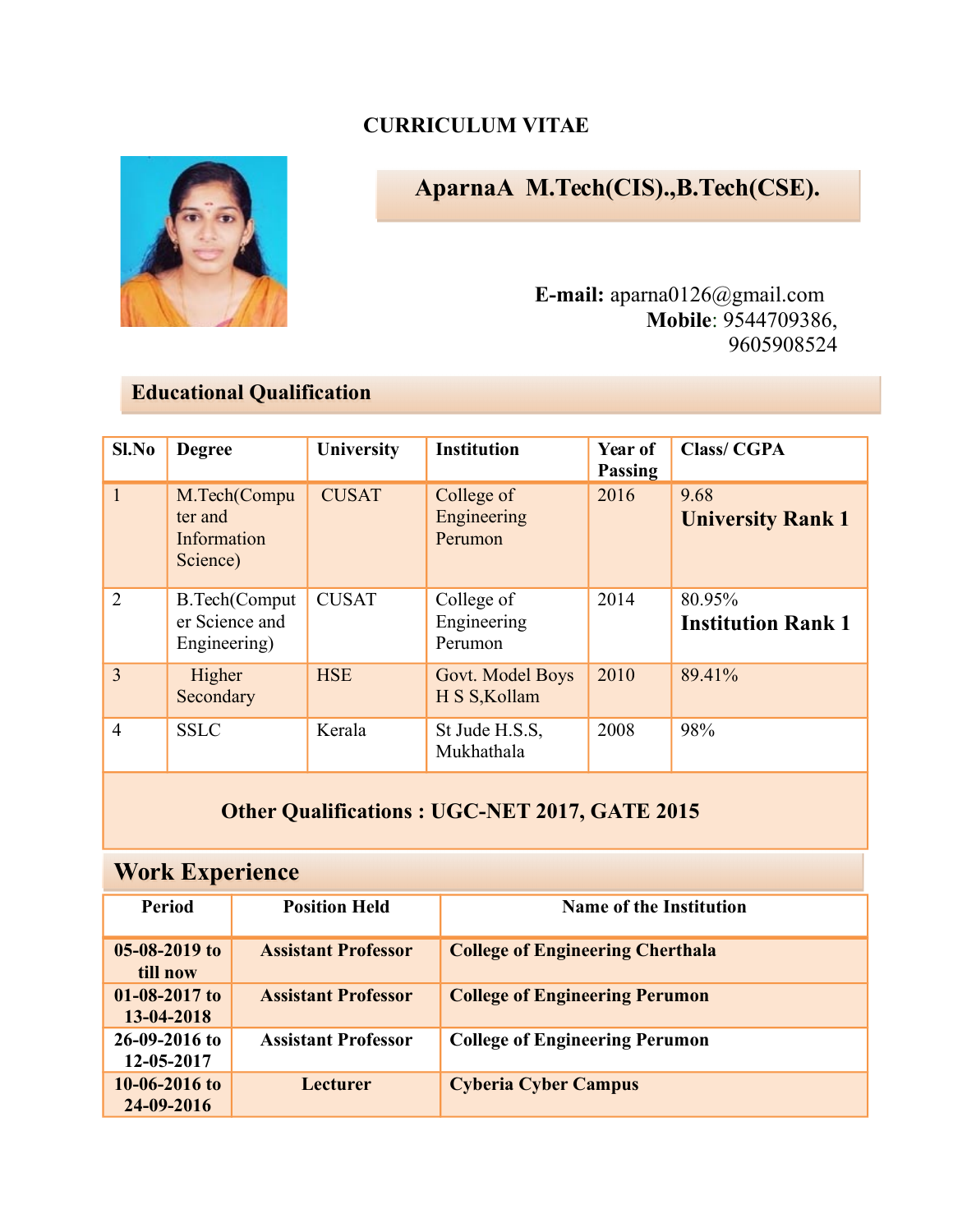### **CURRICULUM VITAE**



## AparnaA M.Tech(CIS).,B.Tech(CSE).

 **E-mail:** aparna0126@gmail.com **Mobile**: 9544709386, 9605908524

### **Educational Qualification**

| Sl.No          | <b>Degree</b>                                      | University   | <b>Institution</b>                   | <b>Year of</b><br><b>Passing</b> | <b>Class/CGPA</b>                   |
|----------------|----------------------------------------------------|--------------|--------------------------------------|----------------------------------|-------------------------------------|
| $\mathbf{1}$   | M.Tech(Compu<br>ter and<br>Information<br>Science) | <b>CUSAT</b> | College of<br>Engineering<br>Perumon | 2016                             | 9.68<br><b>University Rank 1</b>    |
| $\overline{2}$ | B.Tech(Comput)<br>er Science and<br>Engineering)   | <b>CUSAT</b> | College of<br>Engineering<br>Perumon | 2014                             | 80.95%<br><b>Institution Rank 1</b> |
| 3              | Higher<br>Secondary                                | <b>HSE</b>   | Govt. Model Boys<br>H S S, Kollam    | 2010                             | 89.41%                              |
| $\overline{4}$ | <b>SSLC</b>                                        | Kerala       | St Jude H.S.S.<br>Mukhathala         | 2008                             | 98%                                 |

## **Other Qualifications : UGC-NET 2017, GATE 2015**

## **Work Experience Work Experience**

| Period                        | <b>Position Held</b>       | <b>Name of the Institution</b>          |
|-------------------------------|----------------------------|-----------------------------------------|
| $05-08-2019$ to<br>till now   | <b>Assistant Professor</b> | <b>College of Engineering Cherthala</b> |
| $01-08-2017$ to<br>13-04-2018 | <b>Assistant Professor</b> | <b>College of Engineering Perumon</b>   |
| $26-09-2016$ to<br>12-05-2017 | <b>Assistant Professor</b> | <b>College of Engineering Perumon</b>   |
| $10-06-2016$ to<br>24-09-2016 | <b>Lecturer</b>            | <b>Cyberia Cyber Campus</b>             |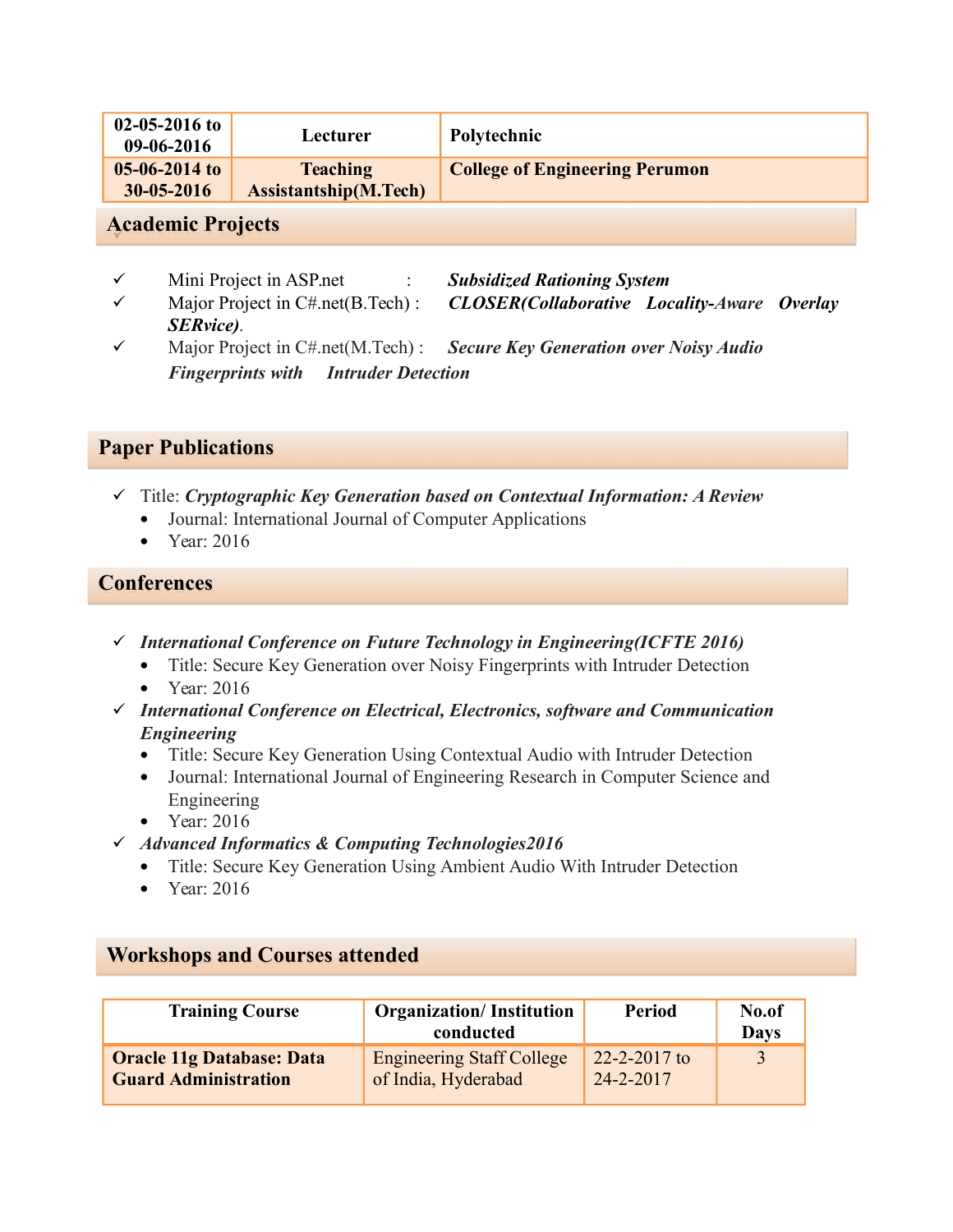| $02 - 05 - 2016$ to<br>09-06-2016   | Lecturer                                        | Polytechnic                           |  |
|-------------------------------------|-------------------------------------------------|---------------------------------------|--|
| $05-06-2014$ to<br>$30 - 05 - 2016$ | <b>Teaching</b><br><b>Assistantship(M.Tech)</b> | <b>College of Engineering Perumon</b> |  |
| Agademic Ducients                   |                                                 |                                       |  |

# **Academic Projects Academic Projects**

- Mini Project in ASP.net : *Subsidized Rationing System* Major Project in C#.net(B.Tech) : *CLOSER(Collaborative Locality-Aware Overlay*
- *SERvice).* Major Project in C#.net(M.Tech) : *Secure Key Generation over Noisy Audio Fingerprints with Intruder Detection*

#### **Paper Publications Paper Publications**

- Title: *Cryptographic Key Generation based on Contextual Information: A Review*
	- Journal: International Journal of Computer Applications
	- Year: 2016

#### **Conferences Conferences**

- *International Conference on Future Technology in Engineering(ICFTE 2016)*
	- Title: Secure Key Generation over Noisy Fingerprints with Intruder Detection
	- Year: 2016
- *International Conference on Electrical, Electronics, software and Communication Engineering*
	- Title: Secure Key Generation Using Contextual Audio with Intruder Detection
	- Journal: International Journal of Engineering Research in Computer Science and Engineering
	- Year: 2016
- *Advanced Informatics & Computing Technologies2016*
	- Title: Secure Key Generation Using Ambient Audio With Intruder Detection
	- Year: 2016

#### **Workshops and Courses attended Workshops and Courses attended**

| <b>Training Course</b>           | <b>Organization/Institution</b><br>conducted | <b>Period</b>      | No.of<br><b>Days</b> |
|----------------------------------|----------------------------------------------|--------------------|----------------------|
| <b>Oracle 11g Database: Data</b> | <b>Engineering Staff College</b>             | $22 - 2 - 2017$ to | 3                    |
| <b>Guard Administration</b>      | of India, Hyderabad                          | $24 - 2 - 2017$    |                      |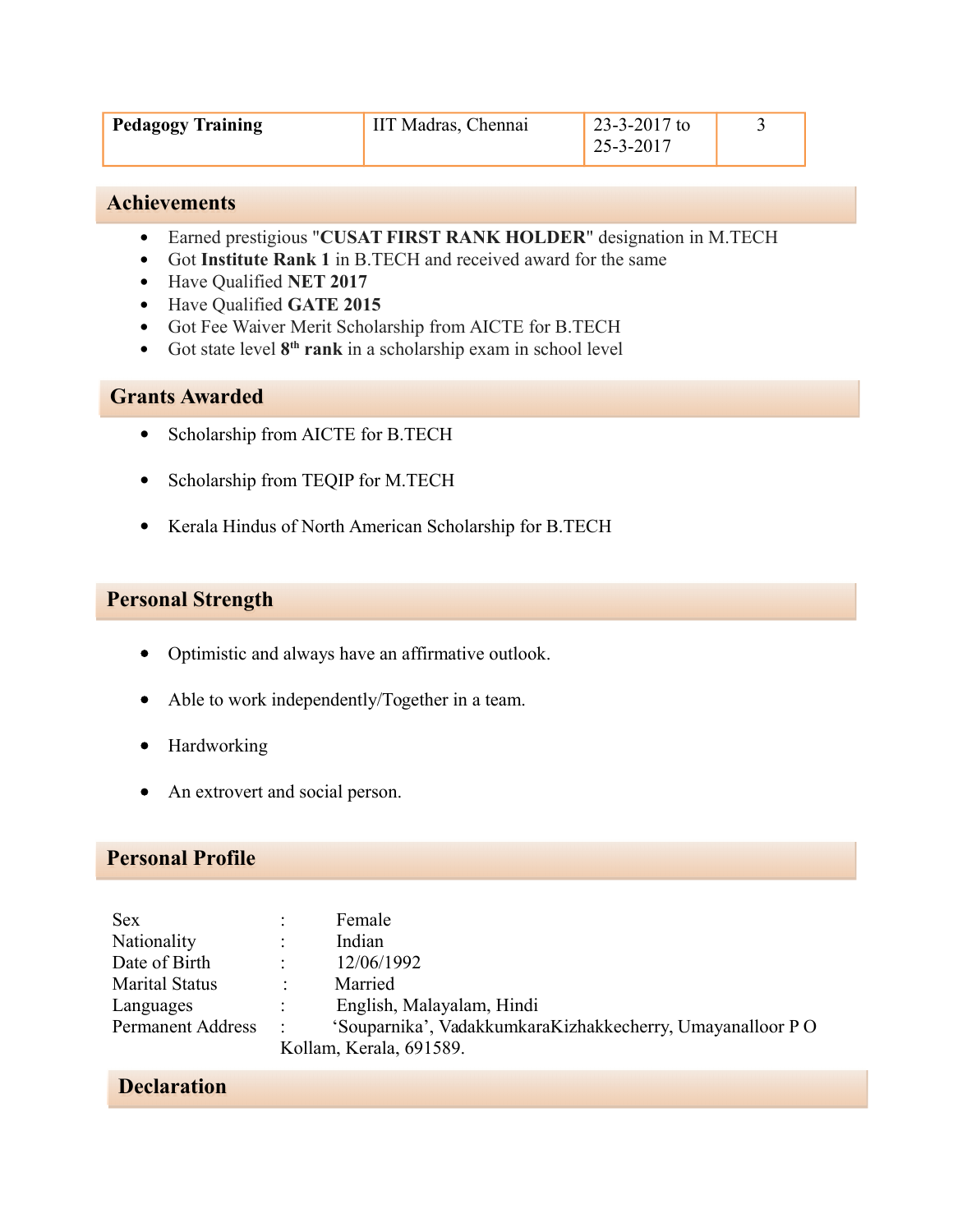| <b>Pedagogy Training</b> | Madras, Chennai | $23 - 3 - 2017$ to<br>$25 - 3 - 2017$ |  |  |
|--------------------------|-----------------|---------------------------------------|--|--|
|--------------------------|-----------------|---------------------------------------|--|--|

#### **Achievements Achievements**

- Earned prestigious "**CUSAT FIRST RANK HOLDER**" designation in M.TECH
- Got **Institute Rank 1** in B.TECH and received award for the same
- Have Qualified **NET 2017**
- Have Qualified **GATE 2015**
- Got Fee Waiver Merit Scholarship from AICTE for B.TECH
- Got state level  $8<sup>th</sup>$  rank in a scholarship exam in school level

#### **Grants Awarded Grants Awarded**

- Scholarship from AICTE for B.TECH
- Scholarship from TEQIP for M.TECH
- Kerala Hindus of North American Scholarship for B.TECH

#### **Personal Strength Personal Strength**

- Optimistic and always have an affirmative outlook.
- Able to work independently/Together in a team.
- Hardworking
- An extrovert and social person.

#### **Personal Profile Personal Profile**

| <b>Sex</b>               |                         | Female                                                    |
|--------------------------|-------------------------|-----------------------------------------------------------|
| Nationality              | ٠                       | Indian                                                    |
| Date of Birth            | $\bullet$               | 12/06/1992                                                |
| <b>Marital Status</b>    | ٠                       | Married                                                   |
| Languages                |                         | English, Malayalam, Hindi                                 |
| <b>Permanent Address</b> |                         | 'Souparnika', VadakkumkaraKizhakkecherry, Umayanalloor PO |
|                          | Kollam, Kerala, 691589. |                                                           |

#### **Declaration Declaration**